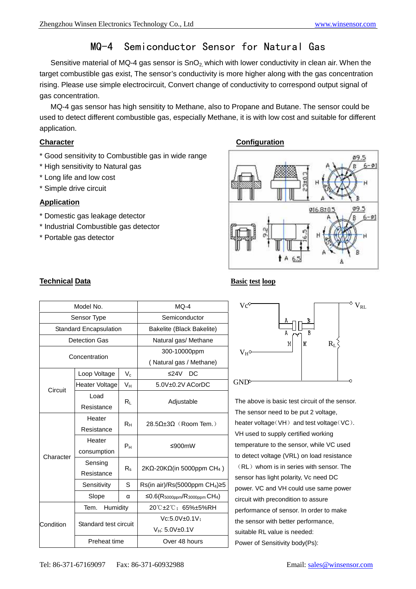# MQ-4 Semiconductor Sensor for Natural Gas

Sensitive material of MQ-4 gas sensor is  $SnO<sub>2</sub>$  which with lower conductivity in clean air. When the target combustible gas exist, The sensor's conductivity is more higher along with the gas concentration rising. Please use simple electrocircuit, Convert change of conductivity to correspond output signal of gas concentration.

MQ-4 gas sensor has high sensitity to Methane, also to Propane and Butane. The sensor could be used to detect different combustible gas, especially Methane, it is with low cost and suitable for different application.

- \* Good sensitivity to Combustible gas in wide range
- \* High sensitivity to Natural gas
- \* Long life and low cost
- \* Simple drive circuit

# **Application**

- \* Domestic gas leakage detector
- \* Industrial Combustible gas detector
- \* Portable gas detector

# **Character Character Configuration Configuration**







The above is basic test circuit of the sensor. The sensor need to be put 2 voltage, heater voltage(VH) and test voltage(VC). VH used to supply certified working temperature to the sensor, while VC used to detect voltage (VRL) on load resistance (RL) whom is in series with sensor. The sensor has light polarity, Vc need DC power. VC and VH could use same power circuit with precondition to assure performance of sensor. In order to make the sensor with better performance, suitable RL value is needed: Power of Sensitivity body(Ps):

# **Technical Data Basic test loop**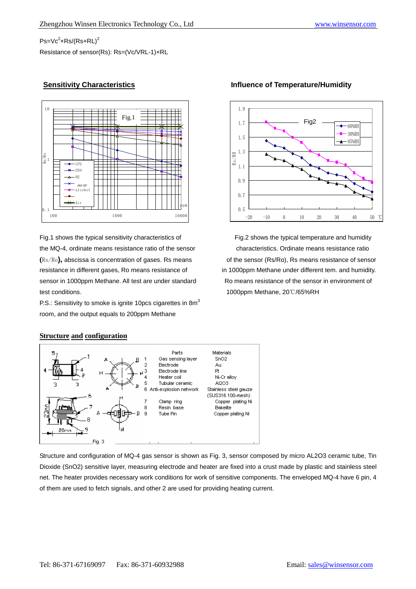# $\mathsf{Ps}\mathsf{=}\mathsf{Vc}^2\mathsf{x}\mathsf{Rs}\mathsf{/(}\mathsf{Rs}\mathsf{+}\mathsf{RL})^2$

Resistance of sensor(Rs): Rs=(Vc/VRL-1)×RL





P.S.: Sensitivity to smoke is ignite 10pcs cigarettes in  $8m<sup>3</sup>$ room, and the output equals to 200ppm Methane



### **Sensitivity Characteristics Influence of Temperature/Humidity**

### **Structure and configuration**



Structure and configuration of MQ-4 gas sensor is shown as Fig. 3, sensor composed by micro AL2O3 ceramic tube, Tin Dioxide (SnO2) sensitive layer, measuring electrode and heater are fixed into a crust made by plastic and stainless steel net. The heater provides necessary work conditions for work of sensitive components. The enveloped MQ-4 have 6 pin, 4 of them are used to fetch signals, and other 2 are used for providing heating current.